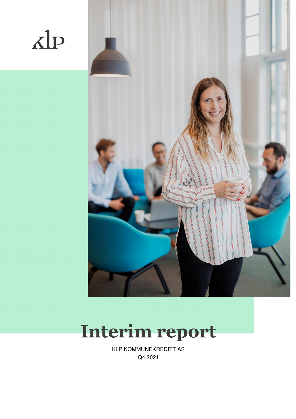



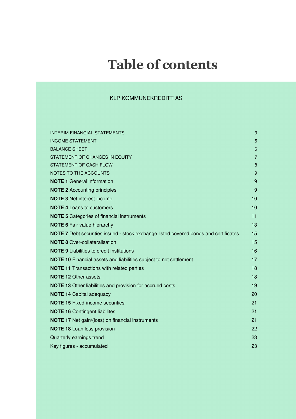# **Table of contents**

| <b>INTERIM FINANCIAL STATEMENTS</b>                                                         | 3              |
|---------------------------------------------------------------------------------------------|----------------|
| <b>INCOME STATEMENT</b>                                                                     | 5              |
| <b>BALANCE SHEET</b>                                                                        | 6              |
| STATEMENT OF CHANGES IN EQUITY                                                              | $\overline{7}$ |
| STATEMENT OF CASH FLOW                                                                      | 8              |
| NOTES TO THE ACCOUNTS                                                                       | 9              |
| <b>NOTE 1 General information</b>                                                           | 9              |
| <b>NOTE 2 Accounting principles</b>                                                         | 9              |
| <b>NOTE 3 Net interest income</b>                                                           | 10             |
| <b>NOTE 4 Loans to customers</b>                                                            | 10             |
| <b>NOTE 5</b> Categories of financial instruments                                           | 11             |
| <b>NOTE 6 Fair value hierarchy</b>                                                          | 13             |
| <b>NOTE 7</b> Debt securities issued - stock exchange listed covered bonds and certificates | 15             |
| <b>NOTE 8</b> Over-collateralisation                                                        | 15             |
| <b>NOTE 9 Liabilities to credit institutions</b>                                            | 16             |
| <b>NOTE 10</b> Financial assets and liabilities subject to net settlement                   | 17             |
| <b>NOTE 11 Transactions with related parties</b>                                            | 18             |
| <b>NOTE 12 Other assets</b>                                                                 | 18             |
| <b>NOTE 13</b> Other liabilities and provision for accrued costs                            | 19             |
| <b>NOTE 14 Capital adequacy</b>                                                             | 20             |
| <b>NOTE 15 Fixed-income securities</b>                                                      | 21             |
| <b>NOTE 16 Contingent liabilites</b>                                                        | 21             |
| <b>NOTE 17</b> Net gain/(loss) on financial instruments                                     | 21             |
| <b>NOTE 18 Loan loss provision</b>                                                          | 22             |
| Quarterly earnings trend                                                                    | 23             |
| Key figures - accumulated                                                                   | 23             |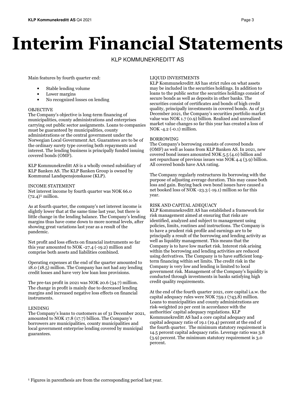# **Interim Financial Statements**

### KLP KOMMUNEKREDITT AS

Main features by fourth quarter end:

- Stable lending volume
- Lower margins
- No recognized losses on lending

#### OBJECTIVE

The Company's objective is long-term financing of municipalities, county administrations and enterprises carrying out public sector assignments. Loans to companies must be guaranteed by municipalities, county administrations or the central government under the Norwegian Local Government Act. Guarantees are to be of the ordinary surety type covering both repayments and interest. The lending business is principally funded issuing covered bonds (OMF).

KLP Kommunekreditt AS is a wholly owned subsidiary of KLP Banken AS. The KLP Banken Group is owned by Kommunal Landspensjonskasse (KLP).

#### INCOME STATEMENT

Net interest income by fourth quarter was NOK 66.0  $(72.4)$ <sup>1</sup> million.

As at fourth quarter, the company's net interest income is slightly lower that at the same time last year, but there is little change in the lending balance. The Company's lending margins thus have come down to more normal levels, after showing great variations last year as a result of the pandemic.

Net profit and loss effects on financial instruments so far this year amounted to NOK -27.4 (-19.2) million and comprise both assets and liabilities combined.

Operating expenses at the end of the quarter amounted to 18.0 (18.5) million. The Company has not had any lending credit losses and have very low loan loss provisions.

The pre-tax profit in 2021 was NOK 20.6 (34.7) million. The change in profit is mainly due to decreased lending margins and increased negative loss effects on financial instruments.

#### LENDING

The Company's loans to customers as of 31 December 2021, amounted to NOK 17.8 (17.7) billion. The Company's borrowers are municipalities, county municipalities and local government enterprise lending covered by municipal guarantees.

#### LIQUID INVESTMENTS

KLP Kommunekreditt AS has strict rules on what assets may be included in the securities holdings. In addition to loans to the public sector the securities holdings consist of secure bonds as well as deposits in other banks. The securities consist of certificates and bonds of high credit quality, principally investments in covered bonds. As of 31 December 2021, the Company's securities portfolio market value was NOK 1.7 (0.9) billion. Realized and unrealized market value changes so far this year has created a loss of NOK -4.2 (-0.1) million.

#### BORROWING

The Company's borrowing consists of covered bonds (OMF) as well as loans from KLP Banken AS. In 2021, new covered bond issues amounted NOK 5.5 (4.0) billion and net repurchase of previous issues was NOK 4.4 (3.9) billion. All covered bonds have AAA rating.

The Company regularly restructures its borrowing with the purpose of adjusting average duration. This may cause both loss and gain. Buying back own bond issues have caused a net booked loss of NOK -23.3 (-19.1) million so far this year.

#### RISK AND CAPITAL ADEQUACY

KLP Kommunekreditt AS has established a framework for risk management aimed at ensuring that risks are identified, analyzed and subject to management using policies, limits, routines and instructions. The Company is to have a prudent risk profile and earnings are to be principally a result of the borrowing and lending activity as well as liquidity management. This means that the Company is to have low market risk. Interest risk arising within the borrowing and lending activities are reduced using derivatives. The Company is to have sufficient longterm financing within set limits. The credit risk in the Company is very low and lending is limited to local government risk. Management of the Company's liquidity is conducted through investments in banks satisfying high credit quality requirements.

At the end of the fourth quarter 2021, core capital i.a.w. the capital adequacy rules were NOK 759.1 (743.8) million. Loans to municipalities and county administrations are risk-weighted 20 per cent in accordance with the authorities' capital adequacy regulations. KLP Kommunekreditt AS had a core capital adequacy and capital adequacy ratio of 19.1 (19.4) percent at the end of the fourth quarter. The minimum statutory requirement is 14.5 percent capital adequacy ratio. Leverage ratio was 3.8 (3.9) percent. The minimum statutory requirement is 3.0 percent.

<sup>1</sup> Figures in parenthesis are from the corresponding period last year.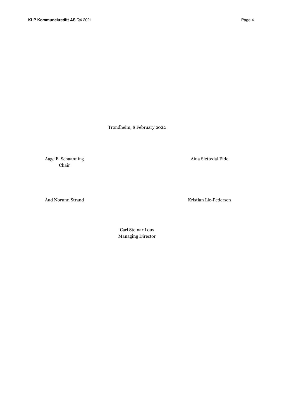Trondheim, 8 February 2022

Aage E. Schaanning Aina Slettedal Eide Chair

Aud Norunn Strand Kristian Lie-Pedersen

 Carl Steinar Lous Managing Director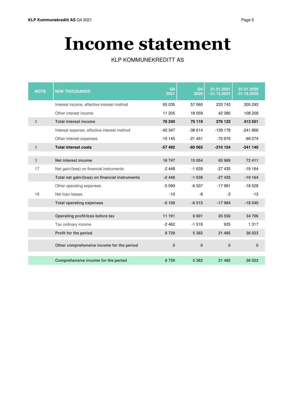# **Income statement**

| <b>NOTE</b> | <b>NOK THOUSANDS</b>                           | Q <sub>4</sub><br>2021 | Q <sub>4</sub><br>2020 | 01.01.2021<br>$-31.12.2021$ | 01.01.2020<br>$-31.12.2020$ |
|-------------|------------------------------------------------|------------------------|------------------------|-----------------------------|-----------------------------|
|             | Interest income, effective interest method     | 65 035                 | 57 060                 | 233 743                     | 305 293                     |
|             | Other interest income                          | 11 205                 | 18 0 59                | 42 380                      | 108 258                     |
| 3           | <b>Total interest income</b>                   | 76 240                 | 75 119                 | 276 123                     | 413 551                     |
|             | Interest expense, effective interest method    | $-42347$               | $-38614$               | $-139$ 178                  | $-241866$                   |
|             | Other interest expenses                        | $-15145$               | $-21451$               | $-70976$                    | $-99274$                    |
| 3           | <b>Total interest costs</b>                    | $-57492$               | $-60065$               | $-210$ 154                  | $-341140$                   |
|             |                                                |                        |                        |                             |                             |
| 3           | Net interest income                            | 18747                  | 15 0 54                | 65 969                      | 72 411                      |
| 17          | Net gain/(loss) on financial instruments       | $-2448$                | $-1639$                | $-27435$                    | $-19164$                    |
|             | Total net gain/(loss) on financial instruments | $-2448$                | $-1639$                | $-27435$                    | $-19164$                    |
|             | Other operating expenses                       | $-5099$                | $-6507$                | $-17981$                    | $-18528$                    |
| 18          | Net loan losses                                | $-10$                  | -8                     | -3                          | $-13$                       |
|             | <b>Total operating expenses</b>                | $-5109$                | $-6515$                | $-17984$                    | $-18540$                    |
|             |                                                |                        |                        |                             |                             |
|             | Operating profit/loss before tax               | 11 191                 | 6 9 0 1                | 20 550                      | 34 706                      |
|             | Tax ordinary income                            | $-2462$                | $-1518$                | 935                         | 1 3 1 7                     |
|             | Profit for the period                          | 8729                   | 5 3 8 2                | 21 4 8 5                    | 36 023                      |
|             | Other comprehensive income for the period      | $\mathbf{0}$           | $\mathbf{0}$           | $\bf{0}$                    | 0                           |
|             | Comprehensive income for the period            | 8729                   | 5 3 8 2                | 21 4 8 5                    | 36 023                      |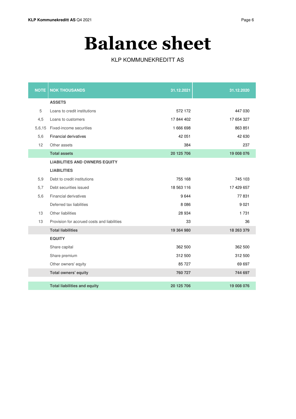# **Balance sheet**

| <b>NOTE</b> | <b>NOK THOUSANDS</b>                        | 31.12.2021 | 31.12.2020 |
|-------------|---------------------------------------------|------------|------------|
|             | <b>ASSETS</b>                               |            |            |
| 5           | Loans to credit institutions                | 572 172    | 447 030    |
| 4,5         | Loans to customers                          | 17 844 402 | 17 654 327 |
| 5,6,15      | Fixed-income securities                     | 1 666 698  | 863 851    |
| 5,6         | <b>Financial derivatives</b>                | 42 051     | 42 630     |
| 12          | Other assets                                | 384        | 237        |
|             | <b>Total assets</b>                         | 20 125 706 | 19 008 076 |
|             | <b>LIABILITIES AND OWNERS EQUITY</b>        |            |            |
|             | <b>LIABILITIES</b>                          |            |            |
| 5,9         | Debt to credit institutions                 | 755 168    | 745 103    |
| 5,7         | Debt securities issued                      | 18 563 116 | 17 429 657 |
| 5,6         | <b>Financial derivatives</b>                | 9644       | 77831      |
|             | Deferred tax liabilities                    | 8 0 8 6    | 9 0 21     |
| 13          | Other liabilities                           | 28 9 34    | 1731       |
| 13          | Provision for accrued costs and liabilities | 33         | 36         |
|             | <b>Total liabilities</b>                    | 19 364 980 | 18 263 379 |
|             | <b>EQUITY</b>                               |            |            |
|             | Share capital                               | 362 500    | 362 500    |
|             | Share premium                               | 312 500    | 312 500    |
|             | Other owners' eqyity                        | 85 727     | 69 697     |
|             | Total owners' equity                        | 760 727    | 744 697    |
|             |                                             |            |            |
|             | <b>Total liabilities and equity</b>         | 20 125 706 | 19 008 076 |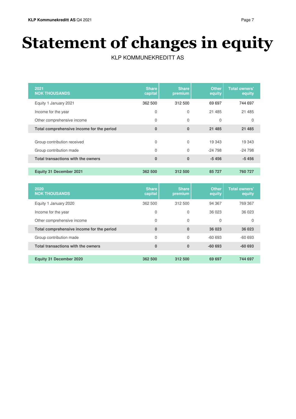# **Statement of changes in equity**

| 2021<br><b>NOK THOUSANDS</b>              | <b>Share</b><br>capital | <b>Share</b><br>premium | <b>Other</b><br>equity | <b>Total owners'</b><br>equity |
|-------------------------------------------|-------------------------|-------------------------|------------------------|--------------------------------|
| Equity 1 January 2021                     | 362 500                 | 312 500                 | 69 697                 | 744 697                        |
| Income for the year                       | 0                       | 0                       | 21 485                 | 21 4 8 5                       |
| Other comprehensive income                | $\mathbf 0$             | 0                       | 0                      | 0                              |
| Total comprehensive income for the period | $\bf{0}$                | $\bf{0}$                | 21 4 8 5               | 21 4 8 5                       |
| Group contribution received               | 0                       | $\Omega$                | 19 343                 | 19 343                         |
| Group contribution made                   | $\mathbf 0$             | $\Omega$                | $-24798$               | $-24798$                       |
| Total transactions with the owners        | $\bf{0}$                | $\bf{0}$                | $-5456$                | $-5456$                        |
| <b>Equity 31 December 2021</b>            | 362 500                 | 312 500                 | 85 727                 | 760 727                        |

| 2020<br><b>NOK THOUSANDS</b>              | <b>Share</b><br>capital | <b>Share</b><br>premium | <b>Other</b><br>equity | <b>Total owners'</b><br>equity |
|-------------------------------------------|-------------------------|-------------------------|------------------------|--------------------------------|
| Equity 1 January 2020                     | 362 500                 | 312 500                 | 94 367                 | 769 367                        |
| Income for the year                       | 0                       | 0                       | 36 023                 | 36 023                         |
| Other comprehensive income                | 0                       | 0                       | 0                      | 0                              |
| Total comprehensive income for the period | $\bf{0}$                | $\bf{0}$                | 36 023                 | 36 023                         |
| Group contribution made                   | 0                       | $\Omega$                | $-60693$               | $-60693$                       |
| Total transactions with the owners        | $\bf{0}$                | $\bf{0}$                | $-60693$               | $-60693$                       |
|                                           |                         |                         |                        |                                |
| <b>Equity 31 December 2020</b>            | 362 500                 | 312 500                 | 69 697                 | 744 697                        |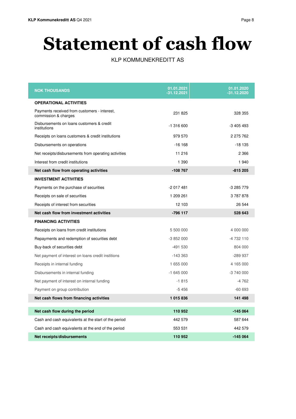# **Statement of cash flow**

| <b>NOK THOUSANDS</b>                                                             | 01.01.2021<br>-31.12.2021 | 01.01.2020<br>-31.12.2020 |
|----------------------------------------------------------------------------------|---------------------------|---------------------------|
| <b>OPERATIONAL ACTIVITIES</b>                                                    |                           |                           |
| Payments received from customers - interest,<br>commission & charges             | 231 825                   | 328 355                   |
| Disbursements on loans customers & credit<br>institutions                        | $-1.316.600$              | -3 405 493                |
| Receipts on loans customers & credit institutions                                | 979 570                   | 2 275 762                 |
| Disbursements on operations                                                      | $-16168$                  | $-18135$                  |
| Net receipts/disbursements from operating activities                             | 11 216                    | 2 3 6 6                   |
| Interest from credit institutions                                                | 1 3 9 0                   | 1940                      |
| Net cash flow from operating activities                                          | $-108767$                 | $-815205$                 |
| <b>INVESTMENT ACTIVITIES</b>                                                     |                           |                           |
| Payments on the purchase of securities                                           | $-2017481$                | $-3285779$                |
| Receipts on sale of securities                                                   | 1 209 261                 | 3787878                   |
| Receipts of interest from securities                                             | 12 103                    | 26 544                    |
| Net cash flow from investment activities                                         | -796 117                  | 528 643                   |
| <b>FINANCING ACTIVITIES</b>                                                      |                           |                           |
| Receipts on loans from credit institutions                                       | 5 500 000                 | 4 000 000                 |
| Repayments and redemption of securities debt                                     | $-3852000$                | -4 732 110                |
| Buy-back of securities debt                                                      | $-491530$                 | 804 000                   |
| Net payment of interest on loans credit institions                               | $-143.363$                | $-289937$                 |
| Receipts in internal funding                                                     | 1 655 000                 | 4 165 000                 |
| Disbursements in internal funding                                                | $-1645000$                | -3 740 000                |
| Net payment of interest on internal funding                                      | $-1815$                   | $-4762$                   |
| Payment on group contribution                                                    | $-5456$                   | $-60693$                  |
| Net cash flows from financing activities                                         | 1 015 836                 | 141 498                   |
|                                                                                  |                           |                           |
| Net cash flow during the period                                                  | 110 952<br>442 579        | $-145064$<br>587 644      |
| Cash and cash equivalents at the start of the period                             |                           | 442 579                   |
| Cash and cash equivalents at the end of the period<br>Net receipts/disbursements | 553 531<br>110 952        | -145 064                  |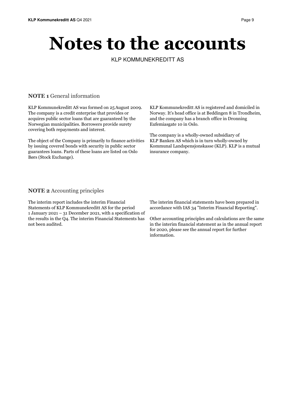# **Notes to the accounts**

KLP KOMMUNEKREDITT AS

#### **NOTE 1** General information

KLP Kommunekreditt AS was formed on 25August 2009. The company is a credit enterprise that provides or acquires public sector loans that are guaranteed by the Norwegian municipalities. Borrowers provide surety covering both repayments and interest.

The object of the Company is primarily to finance activities by issuing covered bonds with security in public sector guarantees loans. Parts of these loans are listed on Oslo Børs (Stock Exchange).

KLP Kommunekreditt AS is registered and domiciled in Norway. It's head office is at Beddingen 8 in Trondheim, and the company has a branch office in Dronning Eufemiasgate 10 in Oslo.

The company is a wholly-owned subsidiary of KLP Banken AS which is in turn wholly-owned by Kommunal Landspensjonskasse (KLP). KLP is a mutual insurance company.

#### **NOTE 2** Accounting principles

The interim report includes the interim Financial Statements of KLP Kommunekreditt AS for the period 1 January 2021 – 31 December 2021, with a specification of the results in the Q4. The interim Financial Statements has not been audited.

The interim financial statements have been prepared in accordance with IAS 34 "Interim Financial Reporting".

Other accounting principles and calculations are the same in the interim financial statement as in the annual report for 2020, please see the annual report for further information.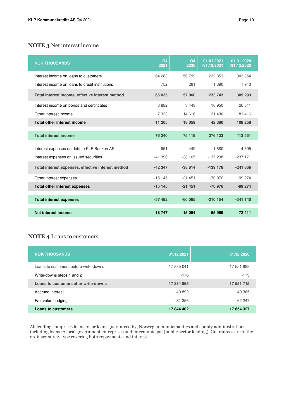# **NOTE 3** Net interest income

| <b>NOK THOUSANDS</b>                               | Q <sub>4</sub><br>2021 | Q <sub>4</sub><br>2020 | 01.01.2021<br>$-31.12.2021$ | 01.01.2020<br>$-31.12.2020$ |
|----------------------------------------------------|------------------------|------------------------|-----------------------------|-----------------------------|
| Interest income on loans to customers              | 64 283                 | 56 799                 | 232 353                     | 303 354                     |
| Interest income on loans to credit institutions    | 752                    | 261                    | 1 3 9 0                     | 1 940                       |
| Total interest income, effective interest method   | 65 035                 | 57 060                 | 233 743                     | 305 293                     |
| Interest income on bonds and certificates          | 3882                   | 3 4 4 3                | 10 950                      | 26 841                      |
| Other interest income                              | 7 3 2 3                | 14 616                 | 31 430                      | 81 416                      |
| <b>Total other interest income</b>                 | 11 205                 | 18 059                 | 42 380                      | 108 258                     |
| <b>Total interest income</b>                       | 76 240                 | 75 119                 | 276 123                     | 413 551                     |
|                                                    |                        |                        |                             |                             |
| Interest expenses on debt to KLP Banken AS         | $-951$                 | $-449$                 | $-1880$                     | $-4695$                     |
| Interest expenses on issued securities             | $-41.396$              | $-38165$               | $-137298$                   | $-237171$                   |
| Total interest expenses, effective interest method | $-42347$               | $-38614$               | $-139$ 178                  | $-241866$                   |
| Other interest expenses                            | $-15145$               | $-21451$               | $-70.976$                   | $-99274$                    |
| <b>Total other interest expenses</b>               | $-15145$               | $-21451$               | -70 976                     | $-99274$                    |
|                                                    |                        |                        |                             |                             |
| <b>Total interest expenses</b>                     | $-57492$               | $-60065$               | $-210154$                   | $-341140$                   |
| Net interest income                                | 18747                  | 15 0 54                | 65 969                      | 72 411                      |

#### **NOTE 4** Loans to customers

| <b>NOK THOUSANDS</b>                  | 31.12.2021 | 31.12.2020 |
|---------------------------------------|------------|------------|
| Loans to customers before write-downs | 17 835 041 | 17 551 888 |
| Write-downs steps 1 and 2             | $-176$     | $-173$     |
| Loans to customers after write-downs  | 17 834 865 | 17 551 715 |
| Accrued interest                      | 40 892     | 40 365     |
| Fair value hedging                    | $-31.356$  | 62 247     |
| Loans to customers                    | 17844402   | 17 654 327 |

All lending comprises loans to, or loans guaranteed by, Norwegian municipalities and county administrations, including loans to local government enterprises and intermunicipal (public sector lending). Guarantees are of the ordinary surety type covering both repayments and interest.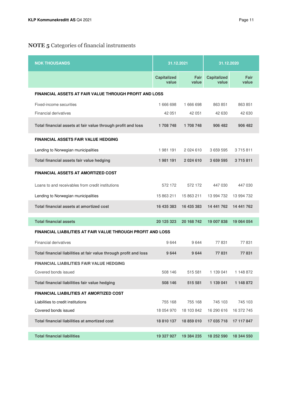# **NOTE 5** Categories of financial instruments

| <b>NOK THOUSANDS</b>                                              | 31.12.2021                  |               | 31.12.2020                  |               |
|-------------------------------------------------------------------|-----------------------------|---------------|-----------------------------|---------------|
|                                                                   | <b>Capitalized</b><br>value | Fair<br>value | <b>Capitalized</b><br>value | Fair<br>value |
| <b>FINANCIAL ASSETS AT FAIR VALUE THROUGH PROFIT AND LOSS</b>     |                             |               |                             |               |
| Fixed-income securities                                           | 1 666 698                   | 1 666 698     | 863 851                     | 863 851       |
| <b>Financial derivatives</b>                                      | 42 051                      | 42 051        | 42 630                      | 42 630        |
| Total financial assets at fair value through profit and loss      | 1708748                     | 1708748       | 906 482                     | 906 482       |
| <b>FINANCIAL ASSETS FAIR VALUE HEDGING</b>                        |                             |               |                             |               |
| Lending to Norwegian municipalities                               | 1981191                     | 2 0 2 4 6 1 0 | 3 659 595                   | 3715811       |
| Total financial assets fair value hedging                         | 1981191                     | 2 0 24 6 10   | 3 659 595                   | 3715811       |
| <b>FINANCIAL ASSETS AT AMORTIZED COST</b>                         |                             |               |                             |               |
| Loans to and receivables from credit institutions                 | 572 172                     | 572 172       | 447 030                     | 447 030       |
| Lending to Norwegian municipalities                               | 15 863 211                  | 15 863 211    | 13 994 732                  | 13 994 732    |
| Total financial assets at amortized cost                          | 16 435 383                  | 16 435 383    | 14 441 762                  | 14 441 762    |
| <b>Total financial assets</b>                                     | 20 125 323                  | 20 168 742    | 19 007 838                  | 19 064 054    |
| FINANCIAL LIABILITIES AT FAIR VALUE THROUGH PROFIT AND LOSS       |                             |               |                             |               |
| <b>Financial derivatives</b>                                      | 9644                        | 9644          | 77831                       | 77831         |
| Total financial liabilities at fair value through profit and loss | 9644                        | 9644          | 77 831                      | 77831         |
| <b>FINANCIAL LIABILITIES FAIR VALUE HEDGING</b>                   |                             |               |                             |               |
| Covered bonds issued                                              | 508 146                     | 515 581       | 1 139 041                   | 1 148 872     |
| Total financial liabilities fair value hedging                    | 508 146                     | 515 581       | 1 139 041                   | 1 148 872     |
| FINANCIAL LIABILITIES AT AMORTIZED COST                           |                             |               |                             |               |
| Liabilities to credit institutions                                | 755 168                     | 755 168       | 745 103                     | 745 103       |
| Covered bonds issued                                              | 18 054 970                  | 18 103 842    | 16 290 616                  | 16 372 745    |
| Total financial liabilities at amortized cost                     | 18 810 137                  | 18 859 010    | 17 035 718                  | 17 117 847    |
| <b>Total financial liabilities</b>                                | 19 327 927                  | 19 384 235    | 18 252 590                  | 18 344 550    |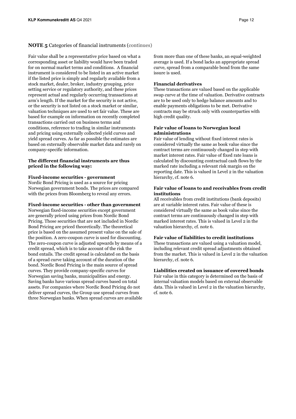#### **NOTE 5** Categories of financial instruments (continues)

Fair value shall be a representative price based on what a corresponding asset or liability would have been traded for on normal market terms and conditions. A financial instrument is considered to be listed in an active market if the listed price is simply and regularly available from a stock market, dealer, broker, industry grouping, price setting service or regulatory authority, and these prices represent actual and regularly occurring transactions at arm's length. If the market for the security is not active, or the security is not listed on a stock market or similar, valuation techniques are used to set fair value. These are based for example on information on recently completed transactions carried out on business terms and conditions, reference to trading in similar instruments and pricing using externally collected yield curves and yield spread curves. As far as possible the estimates are based on externally observable market data and rarely on company-specific information.

#### **The different financial instruments are thus priced in the following way:**

#### **Fixed-income securities - government**

Nordic Bond Pricing is used as a source for pricing Norwegian government bonds. The prices are compared with the prices from Bloomberg to reveal any errors.

#### **Fixed-income securities - other than government**

Norwegian fixed-income securities except government are generally priced using prices from Nordic Bond Pricing. Those securities that are not included in Nordic Bond Pricing are priced theoretically. The theoretical price is based on the assumed present value on the sale of the position. A zero-coupon curve is used for discounting. The zero-coupon curve is adjusted upwards by means of a credit spread, which is to take account of the risk the bond entails. The credit spread is calculated on the basis of a spread curve taking account of the duration of the bond. Nordic Bond Pricing is the main source of spread curves. They provide company-specific curves for Norwegian saving banks, municipalities and energy. Saving banks have various spread curves based on total assets. For companies where Nordic Bond Pricing do not deliver spread curves, the Group use spread curves from three Norwegian banks. When spread curves are available from more than one of these banks, an equal-weighted average is used. If a bond lacks an appropriate spread curve, spread from a comparable bond from the same issure is used.

#### **Financial derivatives**

These transactions are valued based on the applicable swap curve at the time of valuation. Derivative contracts are to be used only to hedge balance amounts and to enable payments obligations to be met. Derivative contracts may be struck only with counterparties with high credit quality.

#### **Fair value of loans to Norwegian local administrations**

Fair value of lending without fixed interest rates is considered virtually the same as book value since the contract terms are continuously changed in step with market interest rates. Fair value of fixed rate loans is calculated by discounting contractual cash flows by the marked rate including a relevant risk margin on the reporting date. This is valued in Level 2 in the valuation hierarchy, cf. note 6.

#### **Fair value of loans to and receivables from credit institutions**

All receivables from credit institutions (bank deposits) are at variable interest rates. Fair value of these is considered virtually the same as book value since the contract terms are continuously changed in step with marked interest rates. This is valued in Level 2 in the valuation hierarchy, cf. note 6.

#### **Fair value of liabilities to credit institutions**

These transactions are valued using a valuation model, including relevant credit spread adjustments obtained from the market. This is valued in Level 2 in the valuation hierarchy, cf. note 6.

#### **Liabilities created on issuance of covered bonds**

Fair value in this category is determined on the basis of internal valuation models based on external observable data. This is valued in Level 2 in the valuation hierarchy, cf. note 6.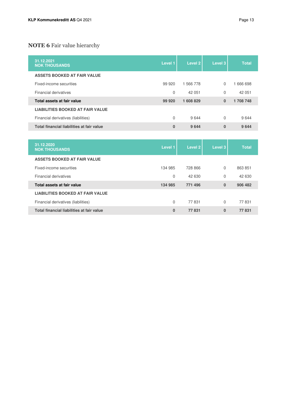# **NOTE 6** Fair value hierarchy

| 31.12.2021<br><b>NOK THOUSANDS</b>        | Level 1      | Level 2   | Level 3  | <b>Total</b> |
|-------------------------------------------|--------------|-----------|----------|--------------|
| <b>ASSETS BOOKED AT FAIR VALUE</b>        |              |           |          |              |
| Fixed-income securities                   | 99 920       | 1 566 778 | $\Omega$ | 1666698      |
| <b>Financial derivatives</b>              | $\Omega$     | 42 051    | $\Omega$ | 42 051       |
| Total assets at fair value                | 99 920       | 1608829   | $\Omega$ | 1708748      |
| <b>LIABILITIES BOOKED AT FAIR VALUE</b>   |              |           |          |              |
| Financial derivatives (liabilities)       | $\Omega$     | 9644      | $\Omega$ | 9644         |
| Total financial liabilities at fair value | $\mathbf{0}$ | 9 6 4 4   | $\bf{0}$ | 9644         |
|                                           |              |           |          |              |

| 31.12.2020<br><b>NOK THOUSANDS</b>        | Level 1  | Level 2 | Level 3  | <b>Total</b> |
|-------------------------------------------|----------|---------|----------|--------------|
| ASSETS BOOKED AT FAIR VALUE               |          |         |          |              |
| Fixed-income securities                   | 134 985  | 728 866 | $\Omega$ | 863 851      |
| Financial derivatives                     | $\Omega$ | 42 630  | $\Omega$ | 42 630       |
| Total assets at fair value                | 134 985  | 771 496 | $\bf{0}$ | 906 482      |
| <b>LIABILITIES BOOKED AT FAIR VALUE</b>   |          |         |          |              |
| Financial derivatives (liabilities)       | $\Omega$ | 77831   | $\Omega$ | 77831        |
| Total financial liabilities at fair value | $\bf{0}$ | 77831   | $\bf{0}$ | 77831        |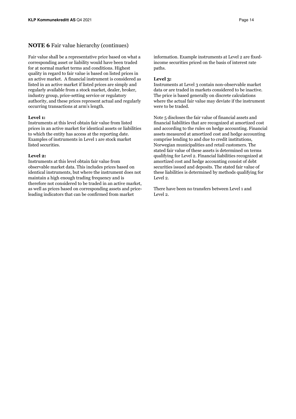#### **NOTE 6** Fair value hierarchy (continues)

Fair value shall be a representative price based on what a corresponding asset or liability would have been traded for at normal market terms and conditions. Highest quality in regard to fair value is based on listed prices in an active market. A financial instrument is considered as listed in an active market if listed prices are simply and regularly available from a stock market, dealer, broker, industry group, price-setting service or regulatory authority, and these prices represent actual and regularly occurring transactions at arm's length.

#### **Level 1:**

Instruments at this level obtain fair value from listed prices in an active market for identical assets or liabilities to which the entity has access at the reporting date. Examples of instruments in Level 1 are stock market listed securities.

#### Level 2.

Instruments at this level obtain fair value from observable market data. This includes prices based on identical instruments, but where the instrument does not maintain a high enough trading frequency and is therefore not considered to be traded in an active market, as well as prices based on corresponding assets and priceleading indicators that can be confirmed from market

information. Example instruments at Level 2 are fixedincome securities priced on the basis of interest rate paths.

#### **Level 3:**

Instruments at Level 3 contain non-observable market data or are traded in markets considered to be inactive. The price is based generally on discrete calculations where the actual fair value may deviate if the instrument were to be traded.

Note 5 discloses the fair value of financial assets and financial liabilities that are recognized at amortized cost and according to the rules on hedge accounting. Financial assets measured at amortized cost and hedge accounting comprise lending to and due to credit institutions, Norwegian municipalities and retail customers. The stated fair value of these assets is determined on terms qualifying for Level 2. Financial liabilities recognized at amortized cost and hedge accounting consist of debt securities issued and deposits. The stated fair value of these liabilities is determined by methods qualifying for Level 2.

There have been no transfers between Level 1 and Level 2.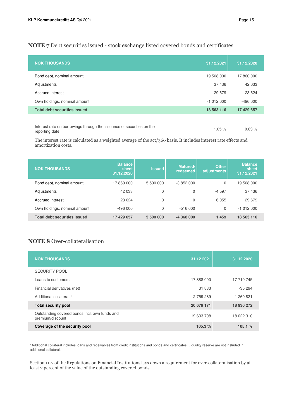#### **NOTE 7** Debt securities issued - stock exchange listed covered bonds and certificates

| <b>NOK THOUSANDS</b>                                                  | 31.12.2021 | 31.12.2020 |
|-----------------------------------------------------------------------|------------|------------|
| Bond debt, nominal amount                                             | 19 508 000 | 17 860 000 |
| Adjustments                                                           | 37 436     | 42 033     |
| Accrued interest                                                      | 29 679     | 23 6 24    |
| Own holdings, nominal amount                                          | $-1012000$ | $-496000$  |
| <b>Total debt securities issued</b>                                   | 18 563 116 | 17 429 657 |
|                                                                       |            |            |
| laterate rate on horrourings through the icouppen of conviting on the |            |            |

| Interest rate on borrowings through the issuance of securities on the | $1.05 \%$ | 0.63% |
|-----------------------------------------------------------------------|-----------|-------|
| reporting date:                                                       |           |       |

The interest rate is calculated as a weighted average of the act/360 basis. It includes interest rate effects and amortization costs.

| <b>NOK THOUSANDS</b>                | <b>Balance</b><br>sheet<br>31.12.2020 | <b>Issued</b> | Matured/<br>redeemed | <b>Other</b><br>adjustments | <b>Balance</b><br>sheet<br>31.12.2021 |
|-------------------------------------|---------------------------------------|---------------|----------------------|-----------------------------|---------------------------------------|
| Bond debt, nominal amount           | 17860000                              | 5 500 000     | $-3852000$           | $\Omega$                    | 19 508 000                            |
| Adjustments                         | 42 033                                | 0             | 0                    | $-4597$                     | 37436                                 |
| Accrued interest                    | 23 624                                | $\mathbf 0$   | 0                    | 6 0 5 5                     | 29 679                                |
| Own holdings, nominal amount        | $-496000$                             | 0             | $-516000$            | $\Omega$                    | $-1012000$                            |
| <b>Total debt securities issued</b> | 17 429 657                            | 5 500 000     | $-4368000$           | 1 4 5 9                     | 18 563 116                            |

### **NOTE 8** Over-collateralisation

| <b>NOK THOUSANDS</b>                                              | 31.12.2021 | 31.12.2020 |
|-------------------------------------------------------------------|------------|------------|
| <b>SECURITY POOL</b>                                              |            |            |
| Loans to customers                                                | 17888000   | 17 710 745 |
| Financial derivatives (net)                                       | 31 883     | $-35294$   |
| Additional collateral <sup>1</sup>                                | 2 759 289  | 1 260 821  |
| <b>Total security pool</b>                                        | 20 679 171 | 18 936 272 |
| Outstanding covered bonds incl. own funds and<br>premium/discount | 19 633 708 | 18 022 310 |
| Coverage of the security pool                                     | 105.3 $%$  | 105.1%     |

<sup>1</sup> Additional collateral includes loans and receivables from credit institutions and bonds and certificates. Liquidity reserve are not insluded in additional collateral.

Section 11-7 of the Regulations on Financial Institutions lays down a requirement for over-collateralisation by at least 2 percent of the value of the outstanding covered bonds.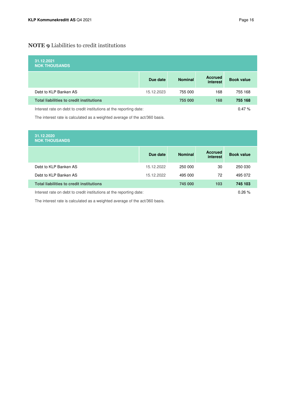# **NOTE 9** Liabilities to credit institutions

| 31.12.2021<br><b>NOK THOUSANDS</b>                                  |            |                |                            |                   |
|---------------------------------------------------------------------|------------|----------------|----------------------------|-------------------|
|                                                                     | Due date   | <b>Nominal</b> | <b>Accrued</b><br>interest | <b>Book value</b> |
| Debt to KLP Banken AS                                               | 15.12.2023 | 755 000        | 168                        | 755 168           |
| <b>Total liabilities to credit institutions</b>                     |            | 755 000        | 168                        | 755 168           |
| Interest rate on debt to credit institutions at the reporting date: |            |                |                            | 0.47%             |

The interest rate is calculated as a weighted average of the act/360 basis.

| 31.12.2020<br><b>NOK THOUSANDS</b>              |            |                |                            |                   |
|-------------------------------------------------|------------|----------------|----------------------------|-------------------|
|                                                 | Due date   | <b>Nominal</b> | <b>Accrued</b><br>interest | <b>Book value</b> |
| Debt to KLP Banken AS                           | 15.12.2022 | 250 000        | 30                         | 250 030           |
| Debt to KLP Banken AS                           | 15.12.2022 | 495 000        | 72                         | 495 072           |
| <b>Total liabilities to credit institutions</b> |            | 745 000        | 103                        | 745 103           |
|                                                 |            |                |                            |                   |

Interest rate on debt to credit institutions at the reporting date: 0.26 %

The interest rate is calculated as a weighted average of the act/360 basis.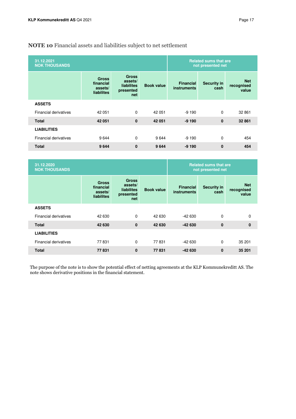# **NOTE 10** Financial assets and liabilities subject to net settlement

| 31.12.2021<br><b>NOK THOUSANDS</b> |                                                           |                                                                  |                   |                                        | <b>Related sums that are</b><br>not presented net |                                   |
|------------------------------------|-----------------------------------------------------------|------------------------------------------------------------------|-------------------|----------------------------------------|---------------------------------------------------|-----------------------------------|
|                                    | <b>Gross</b><br>financial<br>assets/<br><b>liabilites</b> | <b>Gross</b><br>assets/<br><b>liabilites</b><br>presented<br>net | <b>Book value</b> | <b>Financial</b><br><b>instruments</b> | <b>Security in</b><br>cash                        | <b>Net</b><br>recognised<br>value |
| <b>ASSETS</b>                      |                                                           |                                                                  |                   |                                        |                                                   |                                   |
| <b>Financial derivatives</b>       | 42 051                                                    | $\Omega$                                                         | 42 051            | $-9190$                                | $\Omega$                                          | 32 861                            |
| <b>Total</b>                       | 42 051                                                    | $\bf{0}$                                                         | 42 051            | $-9190$                                | $\mathbf 0$                                       | 32 861                            |
| <b>LIABILITIES</b>                 |                                                           |                                                                  |                   |                                        |                                                   |                                   |
| <b>Financial derivatives</b>       | 9644                                                      | $\Omega$                                                         | 9644              | $-9190$                                | $\Omega$                                          | 454                               |
| <b>Total</b>                       | 9644                                                      | $\bf{0}$                                                         | 9644              | $-9190$                                | 0                                                 | 454                               |
|                                    |                                                           |                                                                  |                   |                                        |                                                   |                                   |

| 31.12.2020<br><b>NOK THOUSANDS</b> |                                                           |                                                                  |                   |                                        | <b>Related sums that are</b><br>not presented net |                                   |
|------------------------------------|-----------------------------------------------------------|------------------------------------------------------------------|-------------------|----------------------------------------|---------------------------------------------------|-----------------------------------|
|                                    | <b>Gross</b><br>financial<br>assets/<br><b>liabilites</b> | <b>Gross</b><br>assets/<br><b>liabilites</b><br>presented<br>net | <b>Book value</b> | <b>Financial</b><br><b>instruments</b> | <b>Security in</b><br>cash                        | <b>Net</b><br>recognised<br>value |
| <b>ASSETS</b>                      |                                                           |                                                                  |                   |                                        |                                                   |                                   |
| <b>Financial derivatives</b>       | 42 630                                                    | $\Omega$                                                         | 42 630            | $-42630$                               | $\Omega$                                          | $\mathbf 0$                       |
| <b>Total</b>                       | 42 630                                                    | $\mathbf{0}$                                                     | 42 630            | $-42630$                               | $\mathbf{0}$                                      | $\mathbf 0$                       |
| <b>LIABILITIES</b>                 |                                                           |                                                                  |                   |                                        |                                                   |                                   |
| <b>Financial derivatives</b>       | 77831                                                     | $\Omega$                                                         | 77831             | $-42630$                               | $\Omega$                                          | 35 201                            |
| <b>Total</b>                       | 77831                                                     | 0                                                                | 77831             | $-42630$                               | $\mathbf{0}$                                      | 35 201                            |

The purpose of the note is to show the potential effect of netting agreements at the KLP Kommunekreditt AS. The note shows derivative positions in the financial statement.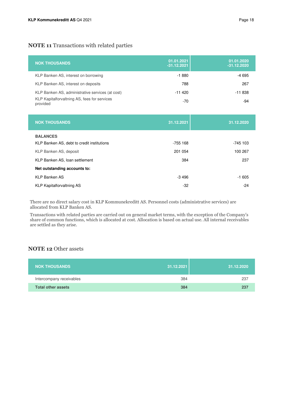| <b>NOK THOUSANDS</b>                                     | 01.01.2021<br>$-31.12.2021$ | 01.01.2020<br>$-31.12.2020$ |
|----------------------------------------------------------|-----------------------------|-----------------------------|
| KLP Banken AS, interest on borrowing                     | $-1880$                     | -4 695                      |
| KLP Banken AS, interest on deposits                      | 788                         | 267                         |
| KLP Banken AS, administrative services (at cost)         | $-11420$                    | $-11838$                    |
| KLP Kapitalforvaltning AS, fees for services<br>provided | -70                         | -94                         |

| <b>NOK THOUSANDS</b>                       | 31.12.2021 | 31.12.2020 |
|--------------------------------------------|------------|------------|
| <b>BALANCES</b>                            |            |            |
| KLP Banken AS, debt to credit institutions | -755 168   | $-745$ 103 |
| KLP Banken AS, deposit                     | 201 054    | 100 267    |
| KLP Banken AS, Ioan settlement             | 384        | 237        |
| Net outstanding accounts to:               |            |            |
| <b>KLP Banken AS</b>                       | $-3496$    | $-1605$    |
| <b>KLP Kapitalforvaltning AS</b>           | $-32$      | $-24$      |

There are no direct salary cost in KLP Kommunekreditt AS. Personnel costs (administrative services) are allocated from KLP Banken AS.

Transactions with related parties are carried out on general market terms, with the exception of the Company's share of common functions, which is allocated at cost. Allocation is based on actual use. All internal receivables are settled as they arise.

### **NOTE 12** Other assets

| <b>NOK THOUSANDS</b>     | 31.12.2021 | 31.12.2020 |
|--------------------------|------------|------------|
| Intercompany receivables | 384        | 237        |
| Total other assets       | 384        | 237        |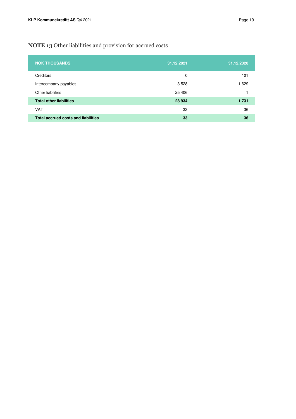# **NOTE 13** Other liabilities and provision for accrued costs

| <b>NOK THOUSANDS</b>                       | 31.12.2021 | 31.12.2020 |
|--------------------------------------------|------------|------------|
| Creditors                                  | 0          | 101        |
| Intercompany payables                      | 3 5 28     | 1629       |
| Other liabilities                          | 25 4 06    |            |
| <b>Total other liabilities</b>             | 28 9 34    | 1 7 3 1    |
| <b>VAT</b>                                 | 33         | 36         |
| <b>Total accrued costs and liabilities</b> | 33         | 36         |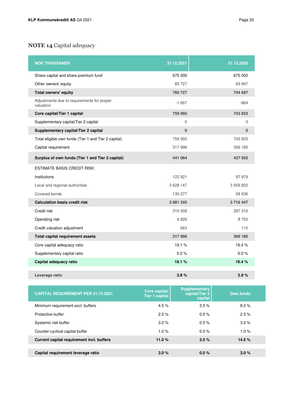# **NOTE 14** Capital adequacy

| <b>NOK THOUSANDS</b>                                    | 31.12.2021   | 31.12.2020  |
|---------------------------------------------------------|--------------|-------------|
| Share capital and share premium fund                    | 675 000      | 675 000     |
| Other owners' equity                                    | 85 727       | 69 697      |
| <b>Total owners' equity</b>                             | 760 727      | 744 697     |
| Adjustments due to requirements for proper<br>valuation | $-1667$      | $-864$      |
| Core capital/Tier 1 capital                             | 759 060      | 743 833     |
| Supplementary capital/Tier 2 capital                    | $\mathbf 0$  | $\mathbf 0$ |
| Supplementary capital/Tier 2 capital                    | $\mathbf{0}$ | $\bf{0}$    |
| Total eligible own funds (Tier 1 and Tier 2 capital)    | 759 060      | 743 833     |
| Capital requirement                                     | 317996       | 306 180     |
| Surplus of own funds (Tier 1 and Tier 2 capital)        | 441 064      | 437 655     |
| <b>ESTIMATE BASIS CREDIT RISK:</b>                      |              |             |
| Institutions                                            | 122 921      | 97979       |
| Local and regional authorities                          | 3 628 147    | 3 559 832   |
| Covered bonds                                           | 130 277      | 58 636      |
| <b>Calculation basis credit risk</b>                    | 3 881 345    | 3716447     |
| Credit risk                                             | 310 508      | 297 316     |
| Operating risk                                          | 6826         | 8755        |
| Credit valuation adjustment                             | 663          | 110         |
| <b>Total capital requirement assets</b>                 | 317996       | 306 180     |
| Core capital adequacy ratio                             | 19.1%        | 19.4%       |
| Supplementary capital ratio                             | 0.0%         | 0.0%        |
| Capital adequacy ratio                                  | 19.1%        | 19.4 %      |
| Leverage ratio                                          | 3.8%         | 3.9%        |

| <b>CAPITAL REQUIREMENT PER 31.12.2021</b> | Core capital/<br><b>Tier 1 capital</b> | <b>Supplementary</b><br>capital/Tier 2<br>capital | <b>Own funds</b> |
|-------------------------------------------|----------------------------------------|---------------------------------------------------|------------------|
| Minimum requirement excl. buffers         | 4.5%                                   | 3.5%                                              | 8.0%             |
| Protective buffer                         | 2.5%                                   | $0.0\%$                                           | 2.5%             |
| Systemic risk buffer                      | 3.0%                                   | 0.0%                                              | 3.0%             |
| Counter-cyclical capital buffer           | 1.0%                                   | 0.0%                                              | 1.0%             |
| Current capital requirement incl. buffers | 11.0 $%$                               | 3.5%                                              | 14.5%            |
|                                           |                                        |                                                   |                  |
| Capital requirement leverage ratio        | 3.0%                                   | 0.0%                                              | 3.0%             |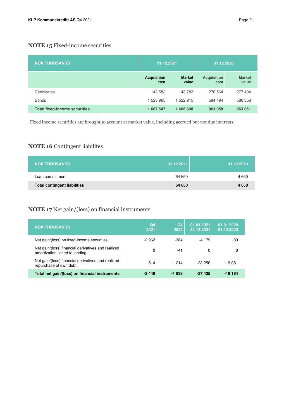# **NOTE 15** Fixed-income securities

| <b>NOK THOUSANDS</b>                 | 31.12.2021                 |                        | 31.12.2020                 |                        |  |
|--------------------------------------|----------------------------|------------------------|----------------------------|------------------------|--|
|                                      | <b>Acquisition</b><br>cost | <b>Market</b><br>value | <b>Acquisition</b><br>cost | <b>Market</b><br>value |  |
| Certificates                         | 143 582                    | 143 783                | 276 564                    | 277 494                |  |
| <b>Bonds</b>                         | 1 523 965                  | 1 522 915              | 584 494                    | 586 358                |  |
| <b>Total fixed-income securities</b> | 1 667 547                  | 1666698                | 861 058                    | 863 851                |  |

Fixed income securities are brought to account at market value, including accrued but not due interests.

# **NOTE 16** Contingent liabilites

| <b>NOK THOUSANDS</b>                | 31.12.2021 | 31.12.2020 |
|-------------------------------------|------------|------------|
| Loan commitment                     | 64 650     | 4 6 5 0    |
| <b>Total contingent liabilities</b> | 64 650     | 4650       |

### **NOTE 17** Net gain/(loss) on financial instruments

| <b>NOK THOUSANDS</b>                                                                 | Q <sub>4</sub><br>2021 | Q <sub>4</sub><br>2020 | 01.01.2021<br>$-31.12.2021$ | 01.01.2020<br>$-31.12.2020$ |
|--------------------------------------------------------------------------------------|------------------------|------------------------|-----------------------------|-----------------------------|
| Net gain/(loss) on fixed-income securities                                           | -2 962                 | $-384$                 | $-4179$                     | -83                         |
| Net gain/(loss) financial derivatives and realized<br>amortization linked to lending | 0                      | -41                    | 0                           | 0                           |
| Net gain/(loss) financial derivatives and realized<br>repurchase of own debt         | 514                    | $-1214$                | $-23256$                    | -19 081                     |
| Total net gain/(loss) on financial instruments                                       | -2448                  | $-1639$                | $-27435$                    | -19 164                     |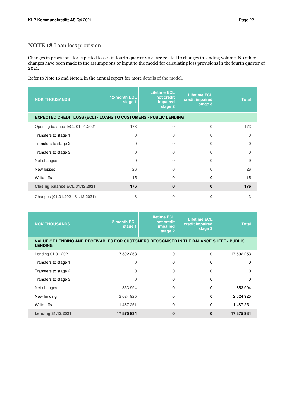### **NOTE 18** Loan loss provision

Changes in provisions for expected losses in fourth quarter 2021 are related to changes in lending volume. No other changes have been made to the assumptions or input to the model for calculating loss provisions in the fourth quarter of 2021.

Refer to Note 16 and Note 2 in the annual report for more details of the model.

| <b>NOK THOUSANDS</b>                                                    | 12-month ECL<br>stage 1 | <b>Lifetime ECL</b><br>not credit<br>impaired<br>stage 2 | <b>Lifetime ECL</b><br>credit impaired<br>stage 3 | <b>Total</b> |  |  |  |
|-------------------------------------------------------------------------|-------------------------|----------------------------------------------------------|---------------------------------------------------|--------------|--|--|--|
| <b>EXPECTED CREDIT LOSS (ECL) - LOANS TO CUSTOMERS - PUBLIC LENDING</b> |                         |                                                          |                                                   |              |  |  |  |
| Opening balance ECL 01.01.2021                                          | 173                     | $\overline{0}$                                           | $\Omega$                                          | 173          |  |  |  |
| Transfers to stage 1                                                    | $\Omega$                | $\Omega$                                                 | 0                                                 | $\Omega$     |  |  |  |
| Transfers to stage 2                                                    | $\Omega$                | $\Omega$                                                 | 0                                                 | $\Omega$     |  |  |  |
| Transfers to stage 3                                                    | $\Omega$                | $\Omega$                                                 | U                                                 | $\Omega$     |  |  |  |
| Net changes                                                             | $-9$                    | $\Omega$                                                 | $\Omega$                                          | $-9$         |  |  |  |
| New losses                                                              | 26                      | $\Omega$                                                 | $\Omega$                                          | 26           |  |  |  |
| Write-offs                                                              | $-15$                   | 0                                                        | 0                                                 | $-15$        |  |  |  |
| Closing balance ECL 31.12.2021                                          | 176                     | $\mathbf{0}$                                             | $\bf{0}$                                          | 176          |  |  |  |
| Changes (01.01.2021-31.12.2021)                                         | 3                       | $\Omega$                                                 | $\Omega$                                          | 3            |  |  |  |

| <b>NOK THOUSANDS</b>                                                                                      | <b>12-month ECL</b><br>stage 1 | <b>Lifetime ECL</b><br>not credit<br>impaired<br>stage 2 | <b>Lifetime ECL</b><br>credit impaired<br>stage 3 | <b>Total</b> |
|-----------------------------------------------------------------------------------------------------------|--------------------------------|----------------------------------------------------------|---------------------------------------------------|--------------|
| VALUE OF LENDING AND RECEIVABLES FOR CUSTOMERS RECOGNISED IN THE BALANCE SHEET - PUBLIC<br><b>LENDING</b> |                                |                                                          |                                                   |              |
| Lending 01.01.2021                                                                                        | 17 592 253                     | $\Omega$                                                 | $\Omega$                                          | 17 592 253   |
| Transfers to stage 1                                                                                      | $\Omega$                       | 0                                                        | $\mathbf 0$                                       | 0            |
| Transfers to stage 2                                                                                      | $\Omega$                       | 0                                                        | $\Omega$                                          | $\Omega$     |
| Transfers to stage 3                                                                                      | $\Omega$                       | $\Omega$                                                 | $\Omega$                                          | $\Omega$     |
| Net changes                                                                                               | $-853994$                      | $\Omega$                                                 | $\Omega$                                          | -853 994     |
| New lending                                                                                               | 2 624 925                      | $\Omega$                                                 | $\Omega$                                          | 2624925      |
| Write-offs                                                                                                | $-1487251$                     | $\Omega$                                                 | $\Omega$                                          | $-1487251$   |
| Lending 31.12.2021                                                                                        | 17 875 934                     | $\bf{0}$                                                 | $\bf{0}$                                          | 17 875 934   |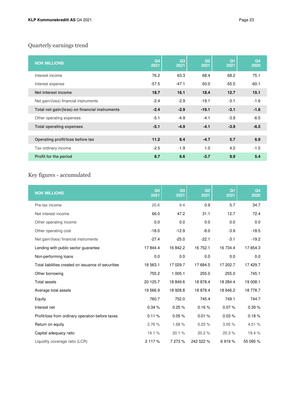# Quarterly earnings trend

| <b>NOK MILLIONS</b>                            | Q <sub>4</sub><br>2021 | Q3<br>2021 | Q <sub>2</sub><br>2021 | Q1<br>2021 | Q <sub>4</sub><br>2020 |
|------------------------------------------------|------------------------|------------|------------------------|------------|------------------------|
| Interest income                                | 76.2                   | 63.3       | 68.4                   | 68.2       | 75.1                   |
| Interest expense                               | $-57.5$                | $-47.1$    | $-50.0$                | $-55.5$    | $-60.1$                |
| Net interest income                            | 18.7                   | 16.1       | 18.4                   | 12.7       | 15.1                   |
| Net gain/(loss) financial instruments          | $-2.4$                 | $-2.9$     | $-19.1$                | $-3.1$     | $-1.6$                 |
| Total net gain/(loss) on financial instruments | $-2.4$                 | $-2.9$     | $-19.1$                | $-3.1$     | $-1.6$                 |
| Other operating expenses                       | $-5.1$                 | $-4.9$     | $-4.1$                 | $-3.9$     | $-6.5$                 |
| <b>Total operating expenses</b>                | $-5.1$                 | $-4.9$     | $-4.1$                 | $-3.9$     | $-6.5$                 |
|                                                |                        |            |                        |            |                        |
| Operating profit/loss before tax               | 11.2                   | 8.4        | $-4.7$                 | 5.7        | 6.9                    |
| Tax ordinary income                            | $-2.5$                 | $-1.9$     | 1.0                    | 4.2        | $-1.5$                 |
| Profit for the period                          | 8.7                    | 6.6        | $-3.7$                 | 9.9        | 5.4                    |

# Key figures - accumulated

| <b>NOK MILLIONS</b>                                 | Q <sub>4</sub><br>2021 | Q3<br>2021 | Q <sub>2</sub><br>2021 | Q <sub>1</sub><br>2021 | Q <sub>4</sub><br>2020 |
|-----------------------------------------------------|------------------------|------------|------------------------|------------------------|------------------------|
| Pre-tax income                                      | 20.6                   | 9.4        | 0.9                    | 5.7                    | 34.7                   |
| Net interest income                                 | 66.0                   | 47.2       | 31.1                   | 12.7                   | 72.4                   |
| Other operating income                              | 0.0                    | 0.0        | 0.0                    | 0.0                    | 0.0                    |
| Other operating cost                                | $-18.0$                | $-12.9$    | $-8.0$                 | $-3.9$                 | $-18.5$                |
| Net gain/(loss) financial instruments               | $-27.4$                | $-25.0$    | $-22.1$                | $-3.1$                 | $-19.2$                |
| Lending with public sector guarantee                | 17 844.4               | 16 842.2   | 16 752.1               | 16 734.4               | 17 654.3               |
| Non-performing loans                                | 0.0                    | 0.0        | 0.0                    | 0.0                    | 0.0                    |
| Total liabilities created on issuance of securities | 18 563.1               | 17 029.7   | 17 684.5               | 17 202.7               | 17 429.7               |
| Other borrowing                                     | 755.2                  | 1 005.1    | 255.0                  | 255.0                  | 745.1                  |
| <b>Total assets</b>                                 | 20 125.7               | 18 849.6   | 18 878.4               | 18 284.4               | 19 008.1               |
| Average total assets                                | 19 566.9               | 18 928.8   | 18 878.4               | 18 646.2               | 18 778.7               |
| Equity                                              | 760.7                  | 752.0      | 745.4                  | 749.1                  | 744.7                  |
| Interest net                                        | 0.34 %                 | 0.25%      | 0.16%                  | 0.07%                  | 0.39%                  |
| Profit/loss from ordinary operation before taxes    | 0.11%                  | 0.05%      | 0.01%                  | 0.03%                  | 0.18%                  |
| Return on equity                                    | 2.76%                  | 1.68%      | 0.25%                  | 3.05%                  | 4.51 %                 |
| Capital adequacy ratio                              | 19.1%                  | 20.1%      | 20.2%                  | 20.3%                  | 19.4 %                 |
| Liquidity coverage ratio (LCR)                      | 2 117 %                | 7 273 %    | 242 522 %              | 6919 %                 | 55 095 %               |